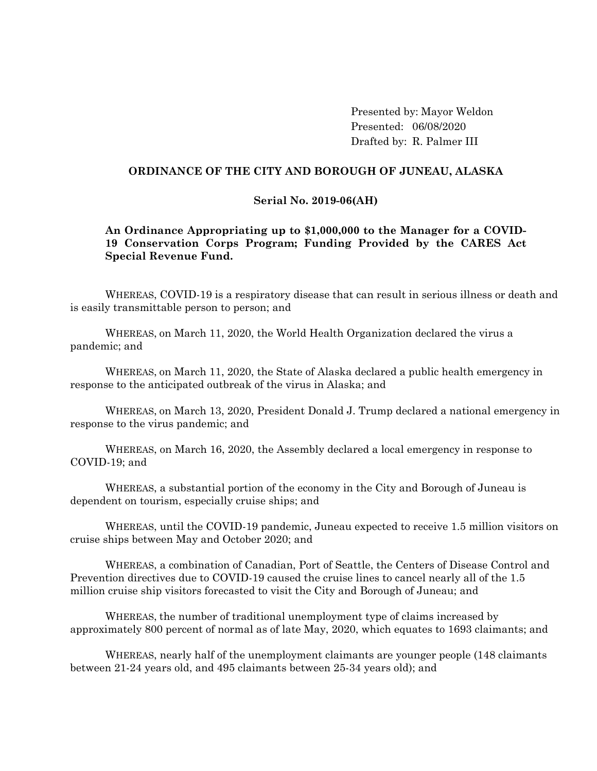Presented by: Mayor Weldon Presented: 06/08/2020 Drafted by: R. Palmer III

## **ORDINANCE OF THE CITY AND BOROUGH OF JUNEAU, ALASKA**

## **Serial No. 2019-06(AH)**

## **An Ordinance Appropriating up to \$1,000,000 to the Manager for a COVID-19 Conservation Corps Program; Funding Provided by the CARES Act Special Revenue Fund.**

WHEREAS, COVID-19 is a respiratory disease that can result in serious illness or death and is easily transmittable person to person; and

WHEREAS, on March 11, 2020, the World Health Organization declared the virus a pandemic; and

WHEREAS, on March 11, 2020, the State of Alaska declared a public health emergency in response to the anticipated outbreak of the virus in Alaska; and

WHEREAS, on March 13, 2020, President Donald J. Trump declared a national emergency in response to the virus pandemic; and

WHEREAS, on March 16, 2020, the Assembly declared a local emergency in response to COVID-19; and

WHEREAS, a substantial portion of the economy in the City and Borough of Juneau is dependent on tourism, especially cruise ships; and

WHEREAS, until the COVID-19 pandemic, Juneau expected to receive 1.5 million visitors on cruise ships between May and October 2020; and

WHEREAS, a combination of Canadian, Port of Seattle, the Centers of Disease Control and Prevention directives due to COVID-19 caused the cruise lines to cancel nearly all of the 1.5 million cruise ship visitors forecasted to visit the City and Borough of Juneau; and

WHEREAS, the number of traditional unemployment type of claims increased by approximately 800 percent of normal as of late May, 2020, which equates to 1693 claimants; and

WHEREAS, nearly half of the unemployment claimants are younger people (148 claimants between 21-24 years old, and 495 claimants between 25-34 years old); and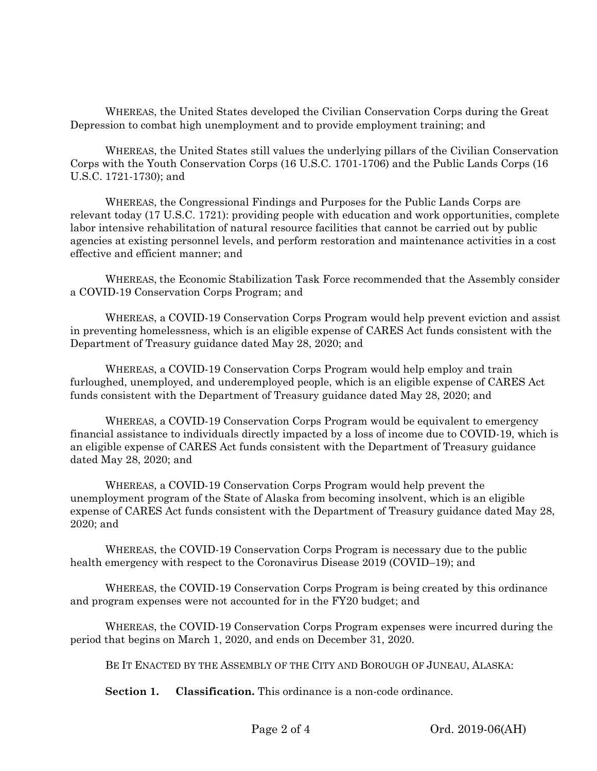WHEREAS, the United States developed the Civilian Conservation Corps during the Great Depression to combat high unemployment and to provide employment training; and

WHEREAS, the United States still values the underlying pillars of the Civilian Conservation Corps with the Youth Conservation Corps (16 U.S.C. 1701-1706) and the Public Lands Corps (16 U.S.C. 1721-1730); and

WHEREAS, the Congressional Findings and Purposes for the Public Lands Corps are relevant today (17 U.S.C. 1721): providing people with education and work opportunities, complete labor intensive rehabilitation of natural resource facilities that cannot be carried out by public agencies at existing personnel levels, and perform restoration and maintenance activities in a cost effective and efficient manner; and

WHEREAS, the Economic Stabilization Task Force recommended that the Assembly consider a COVID-19 Conservation Corps Program; and

WHEREAS, a COVID-19 Conservation Corps Program would help prevent eviction and assist in preventing homelessness, which is an eligible expense of CARES Act funds consistent with the Department of Treasury guidance dated May 28, 2020; and

WHEREAS, a COVID-19 Conservation Corps Program would help employ and train furloughed, unemployed, and underemployed people, which is an eligible expense of CARES Act funds consistent with the Department of Treasury guidance dated May 28, 2020; and

WHEREAS, a COVID-19 Conservation Corps Program would be equivalent to emergency financial assistance to individuals directly impacted by a loss of income due to COVID-19, which is an eligible expense of CARES Act funds consistent with the Department of Treasury guidance dated May 28, 2020; and

WHEREAS, a COVID-19 Conservation Corps Program would help prevent the unemployment program of the State of Alaska from becoming insolvent, which is an eligible expense of CARES Act funds consistent with the Department of Treasury guidance dated May 28, 2020; and

WHEREAS, the COVID-19 Conservation Corps Program is necessary due to the public health emergency with respect to the Coronavirus Disease 2019 (COVID–19); and

WHEREAS, the COVID-19 Conservation Corps Program is being created by this ordinance and program expenses were not accounted for in the FY20 budget; and

WHEREAS, the COVID-19 Conservation Corps Program expenses were incurred during the period that begins on March 1, 2020, and ends on December 31, 2020.

BE IT ENACTED BY THE ASSEMBLY OF THE CITY AND BOROUGH OF JUNEAU, ALASKA:

Section 1. Classification. This ordinance is a non-code ordinance.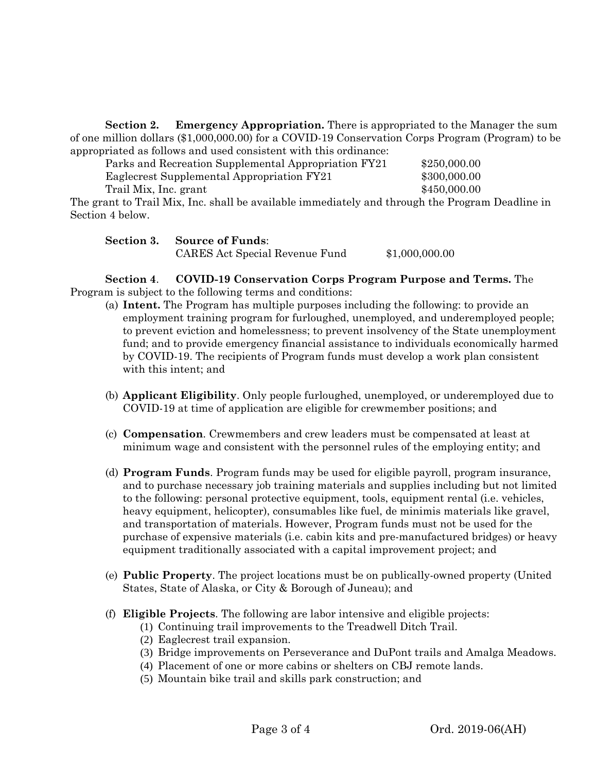**Section 2. Emergency Appropriation.** There is appropriated to the Manager the sum of one million dollars (\$1,000,000.00) for a COVID-19 Conservation Corps Program (Program) to be appropriated as follows and used consistent with this ordinance:

The grant to Trail Mix, Inc. shall be available immediately and through the Program Deadline in Section 4 below.

| Section 3. | <b>Source of Funds:</b>        |                |
|------------|--------------------------------|----------------|
|            | CARES Act Special Revenue Fund | \$1,000,000.00 |

**Section 4**. **COVID-19 Conservation Corps Program Purpose and Terms.** The Program is subject to the following terms and conditions:

- (a) **Intent.** The Program has multiple purposes including the following: to provide an employment training program for furloughed, unemployed, and underemployed people; to prevent eviction and homelessness; to prevent insolvency of the State unemployment fund; and to provide emergency financial assistance to individuals economically harmed by COVID-19. The recipients of Program funds must develop a work plan consistent with this intent; and
- (b) **Applicant Eligibility**. Only people furloughed, unemployed, or underemployed due to COVID-19 at time of application are eligible for crewmember positions; and
- (c) **Compensation**. Crewmembers and crew leaders must be compensated at least at minimum wage and consistent with the personnel rules of the employing entity; and
- (d) **Program Funds**. Program funds may be used for eligible payroll, program insurance, and to purchase necessary job training materials and supplies including but not limited to the following: personal protective equipment, tools, equipment rental (i.e. vehicles, heavy equipment, helicopter), consumables like fuel, de minimis materials like gravel, and transportation of materials. However, Program funds must not be used for the purchase of expensive materials (i.e. cabin kits and pre-manufactured bridges) or heavy equipment traditionally associated with a capital improvement project; and
- (e) **Public Property**. The project locations must be on publically-owned property (United States, State of Alaska, or City & Borough of Juneau); and
- (f) **Eligible Projects**. The following are labor intensive and eligible projects:
	- (1) Continuing trail improvements to the Treadwell Ditch Trail.
	- (2) Eaglecrest trail expansion.
	- (3) Bridge improvements on Perseverance and DuPont trails and Amalga Meadows.
	- (4) Placement of one or more cabins or shelters on CBJ remote lands.
	- (5) Mountain bike trail and skills park construction; and